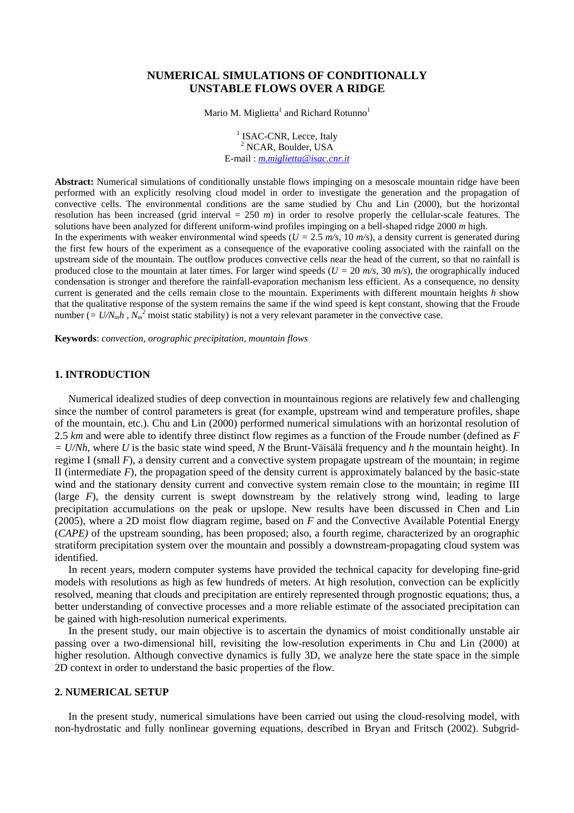# **NUMERICAL SIMULATIONS OF CONDITIONALLY UNSTABLE FLOWS OVER A RIDGE**

Mario M. Miglietta $^{\rm l}$  and Richard Rotunno $^{\rm l}$ 

<sup>1</sup> ISAC-CNR, Lecce, Italy 2 NCAR, Boulder, USA E-mail : *[m.miglietta@isac.cnr.it](mailto:m.miglietta@isac.cnr.it)* 

**Abstract:** Numerical simulations of conditionally unstable flows impinging on a mesoscale mountain ridge have been performed with an explicitly resolving cloud model in order to investigate the generation and the propagation of convective cells. The environmental conditions are the same studied by Chu and Lin (2000), but the horizontal resolution has been increased (grid interval = 250 *m*) in order to resolve properly the cellular-scale features. The solutions have been analyzed for different uniform-wind profiles impinging on a bell-shaped ridge 2000 *m* high. In the experiments with weaker environmental wind speeds ( $U = 2.5$   $m/s$ , 10  $m/s$ ), a density current is generated during the first few hours of the experiment as a consequence of the evaporative cooling associated with the rainfall on the upstream side of the mountain. The outflow produces convective cells near the head of the current, so that no rainfall is produced close to the mountain at later times. For larger wind speeds ( $U = 20$   $m/s$ , 30  $m/s$ ), the orographically induced condensation is stronger and therefore the rainfall-evaporation mechanism less efficient. As a consequence, no density current is generated and the cells remain close to the mountain. Experiments with different mountain heights *h* show that the qualitative response of the system remains the same if the wind speed is kept constant, showing that the Froude number  $\left( = U/N_m h$ ,  $N_m^2$  moist static stability) is not a very relevant parameter in the convective case.

**Keywords**: *convection, orographic precipitation, mountain flows* 

# **1. INTRODUCTION**

Numerical idealized studies of deep convection in mountainous regions are relatively few and challenging since the number of control parameters is great (for example, upstream wind and temperature profiles, shape of the mountain, etc.). Chu and Lin (2000) performed numerical simulations with an horizontal resolution of 2.5 *km* and were able to identify three distinct flow regimes as a function of the Froude number (defined as *F = U/Nh*, where *U* is the basic state wind speed, *N* the Brunt-Väisälä frequency and *h* the mountain height). In regime I (small *F*), a density current and a convective system propagate upstream of the mountain; in regime II (intermediate  $F$ ), the propagation speed of the density current is approximately balanced by the basic-state wind and the stationary density current and convective system remain close to the mountain; in regime III (large  $F$ ), the density current is swept downstream by the relatively strong wind, leading to large precipitation accumulations on the peak or upslope. New results have been discussed in Chen and Lin (2005), where a 2D moist flow diagram regime, based on *F* and the Convective Available Potential Energy (*CAPE)* of the upstream sounding, has been proposed; also, a fourth regime, characterized by an orographic stratiform precipitation system over the mountain and possibly a downstream-propagating cloud system was identified.

In recent years, modern computer systems have provided the technical capacity for developing fine-grid models with resolutions as high as few hundreds of meters. At high resolution, convection can be explicitly resolved, meaning that clouds and precipitation are entirely represented through prognostic equations; thus, a better understanding of convective processes and a more reliable estimate of the associated precipitation can be gained with high-resolution numerical experiments.

In the present study, our main objective is to ascertain the dynamics of moist conditionally unstable air passing over a two-dimensional hill, revisiting the low-resolution experiments in Chu and Lin (2000) at higher resolution. Although convective dynamics is fully 3D, we analyze here the state space in the simple 2D context in order to understand the basic properties of the flow.

# **2. NUMERICAL SETUP**

In the present study, numerical simulations have been carried out using the cloud-resolving model, with non-hydrostatic and fully nonlinear governing equations, described in Bryan and Fritsch (2002). Subgrid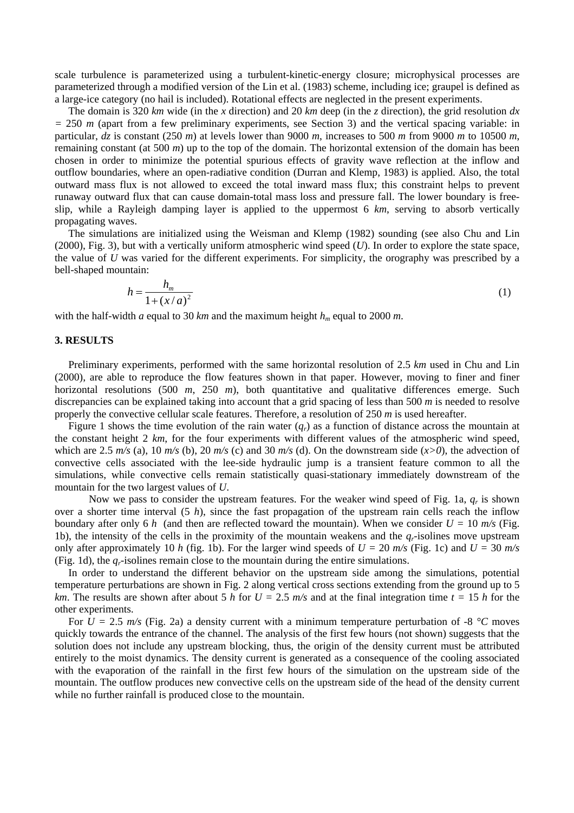scale turbulence is parameterized using a turbulent-kinetic-energy closure; microphysical processes are parameterized through a modified version of the Lin et al. (1983) scheme, including ice; graupel is defined as a large-ice category (no hail is included). Rotational effects are neglected in the present experiments.

The domain is 320 *km* wide (in the *x* direction) and 20 *km* deep (in the *z* direction), the grid resolution *dx =* 250 *m* (apart from a few preliminary experiments, see Section 3) and the vertical spacing variable: in particular, *dz* is constant (250 *m*) at levels lower than 9000 *m*, increases to 500 *m* from 9000 *m* to 10500 *m*, remaining constant (at 500 *m*) up to the top of the domain. The horizontal extension of the domain has been chosen in order to minimize the potential spurious effects of gravity wave reflection at the inflow and outflow boundaries, where an open-radiative condition (Durran and Klemp, 1983) is applied. Also, the total outward mass flux is not allowed to exceed the total inward mass flux; this constraint helps to prevent runaway outward flux that can cause domain-total mass loss and pressure fall. The lower boundary is freeslip, while a Rayleigh damping layer is applied to the uppermost 6 *km*, serving to absorb vertically propagating waves.

The simulations are initialized using the Weisman and Klemp (1982) sounding (see also Chu and Lin (2000), Fig. 3), but with a vertically uniform atmospheric wind speed (*U*). In order to explore the state space, the value of *U* was varied for the different experiments. For simplicity, the orography was prescribed by a bell-shaped mountain:

$$
h = \frac{h_m}{1 + (x/a)^2} \tag{1}
$$

with the half-width *a* equal to 30 *km* and the maximum height  $h_m$  equal to 2000 *m*.

### **3. RESULTS**

Preliminary experiments, performed with the same horizontal resolution of 2.5 *km* used in Chu and Lin (2000), are able to reproduce the flow features shown in that paper. However, moving to finer and finer horizontal resolutions (500 *m*, 250 *m*), both quantitative and qualitative differences emerge. Such discrepancies can be explained taking into account that a grid spacing of less than 500 *m* is needed to resolve properly the convective cellular scale features. Therefore, a resolution of 250 *m* is used hereafter.

Figure 1 shows the time evolution of the rain water  $(q_r)$  as a function of distance across the mountain at the constant height 2 *km*, for the four experiments with different values of the atmospheric wind speed, which are 2.5  $m/s$  (a), 10  $m/s$  (b), 20  $m/s$  (c) and 30  $m/s$  (d). On the downstream side  $(x>0)$ , the advection of convective cells associated with the lee-side hydraulic jump is a transient feature common to all the simulations, while convective cells remain statistically quasi-stationary immediately downstream of the mountain for the two largest values of *U*.

Now we pass to consider the upstream features. For the weaker wind speed of Fig. 1a, *qr* is shown over a shorter time interval (5 *h*), since the fast propagation of the upstream rain cells reach the inflow boundary after only 6 *h* (and then are reflected toward the mountain). When we consider  $U = 10$  m/s (Fig. 1b), the intensity of the cells in the proximity of the mountain weakens and the *qr*-isolines move upstream only after approximately 10 *h* (fig. 1b). For the larger wind speeds of  $U = 20$  m/s (Fig. 1c) and  $U = 30$  m/s (Fig. 1d), the *qr*-isolines remain close to the mountain during the entire simulations.

In order to understand the different behavior on the upstream side among the simulations, potential temperature perturbations are shown in Fig. 2 along vertical cross sections extending from the ground up to 5 *km*. The results are shown after about 5 *h* for  $U = 2.5$  *m/s* and at the final integration time  $t = 15$  *h* for the other experiments.

For  $U = 2.5$   $m/s$  (Fig. 2a) a density current with a minimum temperature perturbation of -8  $\degree$ C moves quickly towards the entrance of the channel. The analysis of the first few hours (not shown) suggests that the solution does not include any upstream blocking, thus, the origin of the density current must be attributed entirely to the moist dynamics. The density current is generated as a consequence of the cooling associated with the evaporation of the rainfall in the first few hours of the simulation on the upstream side of the mountain. The outflow produces new convective cells on the upstream side of the head of the density current while no further rainfall is produced close to the mountain.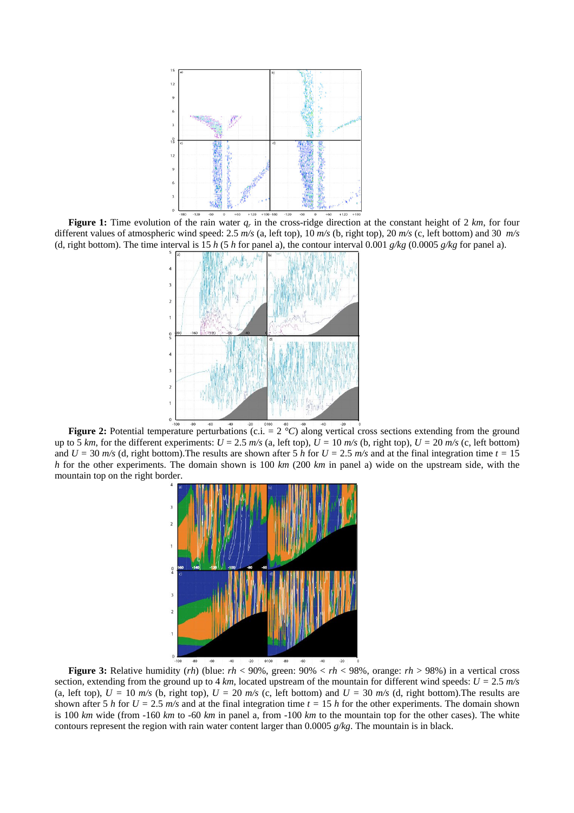

 **Figure 1:** Time evolution of the rain water *qr* in the cross-ridge direction at the constant height of 2 *km*, for four different values of atmospheric wind speed: 2.5 *m/s* (a, left top), 10 *m/s* (b, right top), 20 *m/s* (c, left bottom) and 30 *m/s* (d, right bottom). The time interval is 15 *h* (5 *h* for panel a), the contour interval 0.001  $g/kg$  (0.0005  $g/kg$  for panel a).



**Figure 2:** Potential temperature perturbations (c.i. = 2 °C) along vertical cross sections extending from the ground up to 5 km, for the different experiments:  $U = 2.5$  m/s (a, left top),  $U = 10$  m/s (b, right top),  $U = 20$  m/s (c, left bottom) and  $U = 30$  *m/s* (d, right bottom). The results are shown after 5 *h* for  $U = 2.5$  *m/s* and at the final integration time  $t = 15$ *h* for the other experiments. The domain shown is 100 *km* (200 *km* in panel a) wide on the upstream side, with the mountain top on the right border.



 **Figure 3:** Relative humidity (*rh*) (blue: *rh* < 90%, green: 90% < *rh* < 98%, orange: *rh* > 98%) in a vertical cross section, extending from the ground up to 4  $km$ , located upstream of the mountain for different wind speeds:  $U = 2.5$   $m/s$ (a, left top),  $U = 10$  *m/s* (b, right top),  $U = 20$  *m/s* (c, left bottom) and  $U = 30$  *m/s* (d, right bottom). The results are shown after 5 *h* for  $U = 2.5$  *m/s* and at the final integration time  $t = 15$  *h* for the other experiments. The domain shown is 100 *km* wide (from -160 *km* to -60 *km* in panel a, from -100 *km* to the mountain top for the other cases). The white contours represent the region with rain water content larger than 0.0005 *g/kg*. The mountain is in black.